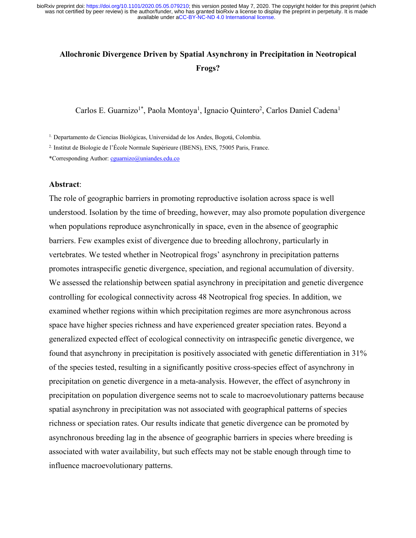# **Allochronic Divergence Driven by Spatial Asynchrony in Precipitation in Neotropical Frogs?**

Carlos E. Guarnizo<sup>1\*</sup>, Paola Montoya<sup>1</sup>, Ignacio Quintero<sup>2</sup>, Carlos Daniel Cadena<sup>1</sup>

1. Departamento de Ciencias Biológicas, Universidad de los Andes, Bogotá, Colombia.

2. Institut de Biologie de l'École Normale Supérieure (IBENS), ENS, 75005 Paris, France.

\*Corresponding Author: cguarnizo@uniandes.edu.co

## **Abstract**:

The role of geographic barriers in promoting reproductive isolation across space is well understood. Isolation by the time of breeding, however, may also promote population divergence when populations reproduce asynchronically in space, even in the absence of geographic barriers. Few examples exist of divergence due to breeding allochrony, particularly in vertebrates. We tested whether in Neotropical frogs' asynchrony in precipitation patterns promotes intraspecific genetic divergence, speciation, and regional accumulation of diversity. We assessed the relationship between spatial asynchrony in precipitation and genetic divergence controlling for ecological connectivity across 48 Neotropical frog species. In addition, we examined whether regions within which precipitation regimes are more asynchronous across space have higher species richness and have experienced greater speciation rates. Beyond a generalized expected effect of ecological connectivity on intraspecific genetic divergence, we found that asynchrony in precipitation is positively associated with genetic differentiation in 31% of the species tested, resulting in a significantly positive cross-species effect of asynchrony in precipitation on genetic divergence in a meta-analysis. However, the effect of asynchrony in precipitation on population divergence seems not to scale to macroevolutionary patterns because spatial asynchrony in precipitation was not associated with geographical patterns of species richness or speciation rates. Our results indicate that genetic divergence can be promoted by asynchronous breeding lag in the absence of geographic barriers in species where breeding is associated with water availability, but such effects may not be stable enough through time to influence macroevolutionary patterns.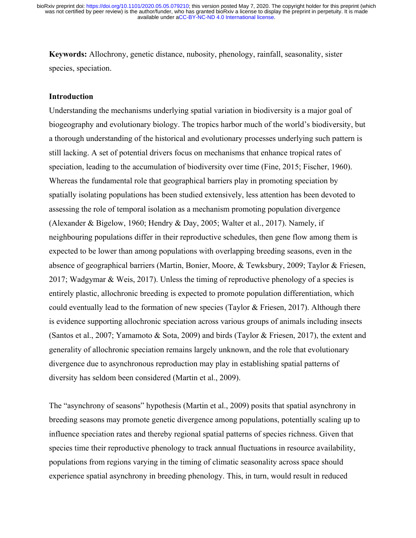**Keywords:** Allochrony, genetic distance, nubosity, phenology, rainfall, seasonality, sister species, speciation.

# **Introduction**

Understanding the mechanisms underlying spatial variation in biodiversity is a major goal of biogeography and evolutionary biology. The tropics harbor much of the world's biodiversity, but a thorough understanding of the historical and evolutionary processes underlying such pattern is still lacking. A set of potential drivers focus on mechanisms that enhance tropical rates of speciation, leading to the accumulation of biodiversity over time (Fine, 2015; Fischer, 1960). Whereas the fundamental role that geographical barriers play in promoting speciation by spatially isolating populations has been studied extensively, less attention has been devoted to assessing the role of temporal isolation as a mechanism promoting population divergence (Alexander & Bigelow, 1960; Hendry & Day, 2005; Walter et al., 2017). Namely, if neighbouring populations differ in their reproductive schedules, then gene flow among them is expected to be lower than among populations with overlapping breeding seasons, even in the absence of geographical barriers (Martin, Bonier, Moore, & Tewksbury, 2009; Taylor & Friesen, 2017; Wadgymar & Weis, 2017). Unless the timing of reproductive phenology of a species is entirely plastic, allochronic breeding is expected to promote population differentiation, which could eventually lead to the formation of new species (Taylor & Friesen, 2017). Although there is evidence supporting allochronic speciation across various groups of animals including insects (Santos et al., 2007; Yamamoto & Sota, 2009) and birds (Taylor & Friesen, 2017), the extent and generality of allochronic speciation remains largely unknown, and the role that evolutionary divergence due to asynchronous reproduction may play in establishing spatial patterns of diversity has seldom been considered (Martin et al., 2009).

The "asynchrony of seasons" hypothesis (Martin et al., 2009) posits that spatial asynchrony in breeding seasons may promote genetic divergence among populations, potentially scaling up to influence speciation rates and thereby regional spatial patterns of species richness. Given that species time their reproductive phenology to track annual fluctuations in resource availability, populations from regions varying in the timing of climatic seasonality across space should experience spatial asynchrony in breeding phenology. This, in turn, would result in reduced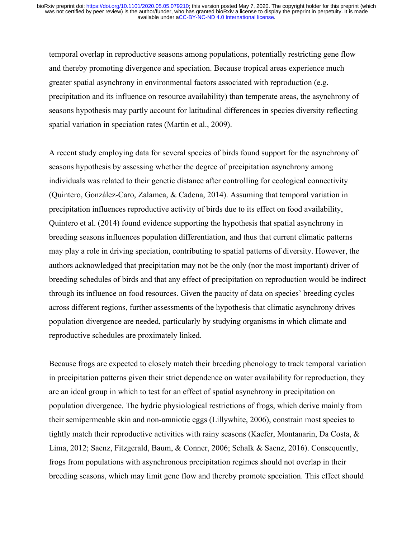temporal overlap in reproductive seasons among populations, potentially restricting gene flow and thereby promoting divergence and speciation. Because tropical areas experience much greater spatial asynchrony in environmental factors associated with reproduction (e.g. precipitation and its influence on resource availability) than temperate areas, the asynchrony of seasons hypothesis may partly account for latitudinal differences in species diversity reflecting spatial variation in speciation rates (Martin et al., 2009).

A recent study employing data for several species of birds found support for the asynchrony of seasons hypothesis by assessing whether the degree of precipitation asynchrony among individuals was related to their genetic distance after controlling for ecological connectivity (Quintero, González-Caro, Zalamea, & Cadena, 2014). Assuming that temporal variation in precipitation influences reproductive activity of birds due to its effect on food availability, Quintero et al. (2014) found evidence supporting the hypothesis that spatial asynchrony in breeding seasons influences population differentiation, and thus that current climatic patterns may play a role in driving speciation, contributing to spatial patterns of diversity. However, the authors acknowledged that precipitation may not be the only (nor the most important) driver of breeding schedules of birds and that any effect of precipitation on reproduction would be indirect through its influence on food resources. Given the paucity of data on species' breeding cycles across different regions, further assessments of the hypothesis that climatic asynchrony drives population divergence are needed, particularly by studying organisms in which climate and reproductive schedules are proximately linked.

Because frogs are expected to closely match their breeding phenology to track temporal variation in precipitation patterns given their strict dependence on water availability for reproduction, they are an ideal group in which to test for an effect of spatial asynchrony in precipitation on population divergence. The hydric physiological restrictions of frogs, which derive mainly from their semipermeable skin and non-amniotic eggs (Lillywhite, 2006), constrain most species to tightly match their reproductive activities with rainy seasons (Kaefer, Montanarin, Da Costa, & Lima, 2012; Saenz, Fitzgerald, Baum, & Conner, 2006; Schalk & Saenz, 2016). Consequently, frogs from populations with asynchronous precipitation regimes should not overlap in their breeding seasons, which may limit gene flow and thereby promote speciation. This effect should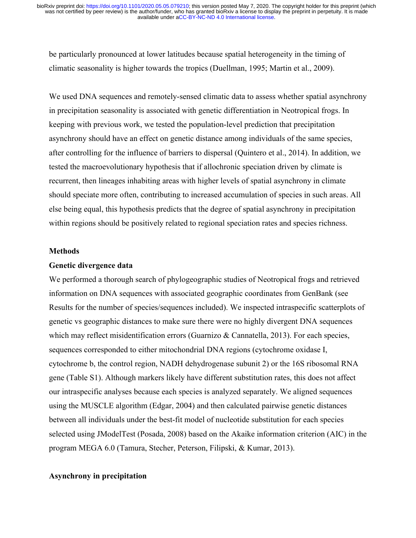be particularly pronounced at lower latitudes because spatial heterogeneity in the timing of climatic seasonality is higher towards the tropics (Duellman, 1995; Martin et al., 2009).

We used DNA sequences and remotely-sensed climatic data to assess whether spatial asynchrony in precipitation seasonality is associated with genetic differentiation in Neotropical frogs. In keeping with previous work, we tested the population-level prediction that precipitation asynchrony should have an effect on genetic distance among individuals of the same species, after controlling for the influence of barriers to dispersal (Quintero et al., 2014). In addition, we tested the macroevolutionary hypothesis that if allochronic speciation driven by climate is recurrent, then lineages inhabiting areas with higher levels of spatial asynchrony in climate should speciate more often, contributing to increased accumulation of species in such areas. All else being equal, this hypothesis predicts that the degree of spatial asynchrony in precipitation within regions should be positively related to regional speciation rates and species richness.

#### **Methods**

#### **Genetic divergence data**

We performed a thorough search of phylogeographic studies of Neotropical frogs and retrieved information on DNA sequences with associated geographic coordinates from GenBank (see Results for the number of species/sequences included). We inspected intraspecific scatterplots of genetic vs geographic distances to make sure there were no highly divergent DNA sequences which may reflect misidentification errors (Guarnizo & Cannatella, 2013). For each species, sequences corresponded to either mitochondrial DNA regions (cytochrome oxidase I, cytochrome b, the control region, NADH dehydrogenase subunit 2) or the 16S ribosomal RNA gene (Table S1). Although markers likely have different substitution rates, this does not affect our intraspecific analyses because each species is analyzed separately. We aligned sequences using the MUSCLE algorithm (Edgar, 2004) and then calculated pairwise genetic distances between all individuals under the best-fit model of nucleotide substitution for each species selected using JModelTest (Posada, 2008) based on the Akaike information criterion (AIC) in the program MEGA 6.0 (Tamura, Stecher, Peterson, Filipski, & Kumar, 2013).

# **Asynchrony in precipitation**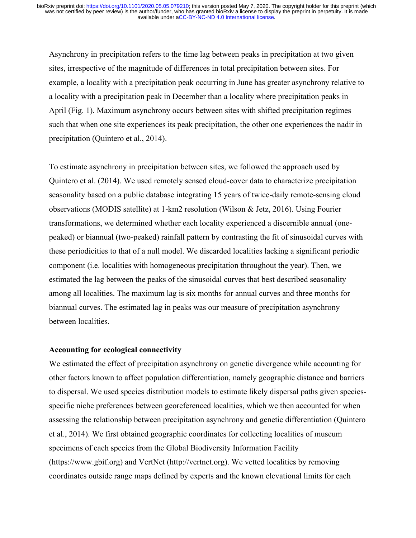Asynchrony in precipitation refers to the time lag between peaks in precipitation at two given sites, irrespective of the magnitude of differences in total precipitation between sites. For example, a locality with a precipitation peak occurring in June has greater asynchrony relative to a locality with a precipitation peak in December than a locality where precipitation peaks in April (Fig. 1). Maximum asynchrony occurs between sites with shifted precipitation regimes such that when one site experiences its peak precipitation, the other one experiences the nadir in precipitation (Quintero et al., 2014).

To estimate asynchrony in precipitation between sites, we followed the approach used by Quintero et al. (2014). We used remotely sensed cloud-cover data to characterize precipitation seasonality based on a public database integrating 15 years of twice-daily remote-sensing cloud observations (MODIS satellite) at 1-km2 resolution (Wilson & Jetz, 2016). Using Fourier transformations, we determined whether each locality experienced a discernible annual (onepeaked) or biannual (two-peaked) rainfall pattern by contrasting the fit of sinusoidal curves with these periodicities to that of a null model. We discarded localities lacking a significant periodic component (i.e. localities with homogeneous precipitation throughout the year). Then, we estimated the lag between the peaks of the sinusoidal curves that best described seasonality among all localities. The maximum lag is six months for annual curves and three months for biannual curves. The estimated lag in peaks was our measure of precipitation asynchrony between localities.

# **Accounting for ecological connectivity**

We estimated the effect of precipitation asynchrony on genetic divergence while accounting for other factors known to affect population differentiation, namely geographic distance and barriers to dispersal. We used species distribution models to estimate likely dispersal paths given speciesspecific niche preferences between georeferenced localities, which we then accounted for when assessing the relationship between precipitation asynchrony and genetic differentiation (Quintero et al., 2014). We first obtained geographic coordinates for collecting localities of museum specimens of each species from the Global Biodiversity Information Facility (https://www.gbif.org) and VertNet (http://vertnet.org). We vetted localities by removing coordinates outside range maps defined by experts and the known elevational limits for each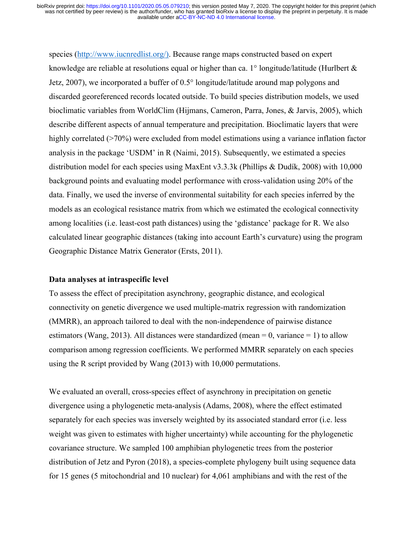species (http://www.iucnredlist.org/). Because range maps constructed based on expert knowledge are reliable at resolutions equal or higher than ca. 1 $\degree$  longitude/latitude (Hurlbert & Jetz, 2007), we incorporated a buffer of 0.5° longitude/latitude around map polygons and discarded georeferenced records located outside. To build species distribution models, we used bioclimatic variables from WorldClim (Hijmans, Cameron, Parra, Jones, & Jarvis, 2005), which describe different aspects of annual temperature and precipitation. Bioclimatic layers that were highly correlated ( $>70\%$ ) were excluded from model estimations using a variance inflation factor analysis in the package 'USDM' in R (Naimi, 2015). Subsequently, we estimated a species distribution model for each species using MaxEnt v3.3.3k (Phillips & Dudík, 2008) with 10,000 background points and evaluating model performance with cross-validation using 20% of the data. Finally, we used the inverse of environmental suitability for each species inferred by the models as an ecological resistance matrix from which we estimated the ecological connectivity among localities (i.e. least-cost path distances) using the 'gdistance' package for R. We also calculated linear geographic distances (taking into account Earth's curvature) using the program Geographic Distance Matrix Generator (Ersts, 2011).

#### **Data analyses at intraspecific level**

To assess the effect of precipitation asynchrony, geographic distance, and ecological connectivity on genetic divergence we used multiple-matrix regression with randomization (MMRR), an approach tailored to deal with the non-independence of pairwise distance estimators (Wang, 2013). All distances were standardized (mean  $= 0$ , variance  $= 1$ ) to allow comparison among regression coefficients. We performed MMRR separately on each species using the R script provided by Wang (2013) with 10,000 permutations.

We evaluated an overall, cross-species effect of asynchrony in precipitation on genetic divergence using a phylogenetic meta-analysis (Adams, 2008), where the effect estimated separately for each species was inversely weighted by its associated standard error (i.e. less weight was given to estimates with higher uncertainty) while accounting for the phylogenetic covariance structure. We sampled 100 amphibian phylogenetic trees from the posterior distribution of Jetz and Pyron (2018), a species-complete phylogeny built using sequence data for 15 genes (5 mitochondrial and 10 nuclear) for 4,061 amphibians and with the rest of the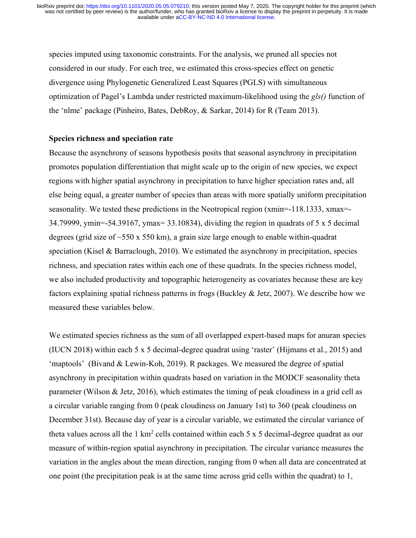species imputed using taxonomic constraints. For the analysis, we pruned all species not considered in our study. For each tree, we estimated this cross-species effect on genetic divergence using Phylogenetic Generalized Least Squares (PGLS) with simultaneous optimization of Pagel's Lambda under restricted maximum-likelihood using the *gls()* function of the 'nlme' package (Pinheiro, Bates, DebRoy, & Sarkar, 2014) for R (Team 2013).

# **Species richness and speciation rate**

Because the asynchrony of seasons hypothesis posits that seasonal asynchrony in precipitation promotes population differentiation that might scale up to the origin of new species, we expect regions with higher spatial asynchrony in precipitation to have higher speciation rates and, all else being equal, a greater number of species than areas with more spatially uniform precipitation seasonality. We tested these predictions in the Neotropical region (xmin=-118.1333, xmax=- 34.79999, ymin=-54.39167, ymax= 33.10834), dividing the region in quadrats of 5 x 5 decimal degrees (grid size of ~550 x 550 km), a grain size large enough to enable within-quadrat speciation (Kisel & Barraclough, 2010). We estimated the asynchrony in precipitation, species richness, and speciation rates within each one of these quadrats. In the species richness model, we also included productivity and topographic heterogeneity as covariates because these are key factors explaining spatial richness patterns in frogs (Buckley & Jetz, 2007). We describe how we measured these variables below.

We estimated species richness as the sum of all overlapped expert-based maps for anuran species (IUCN 2018) within each 5 x 5 decimal-degree quadrat using 'raster' (Hijmans et al., 2015) and 'maptools' (Bivand & Lewin-Koh, 2019). R packages. We measured the degree of spatial asynchrony in precipitation within quadrats based on variation in the MODCF seasonality theta parameter (Wilson & Jetz, 2016), which estimates the timing of peak cloudiness in a grid cell as a circular variable ranging from 0 (peak cloudiness on January 1st) to 360 (peak cloudiness on December 31st). Because day of year is a circular variable, we estimated the circular variance of theta values across all the 1 km<sup>2</sup> cells contained within each 5 x 5 decimal-degree quadrat as our measure of within-region spatial asynchrony in precipitation. The circular variance measures the variation in the angles about the mean direction, ranging from 0 when all data are concentrated at one point (the precipitation peak is at the same time across grid cells within the quadrat) to 1,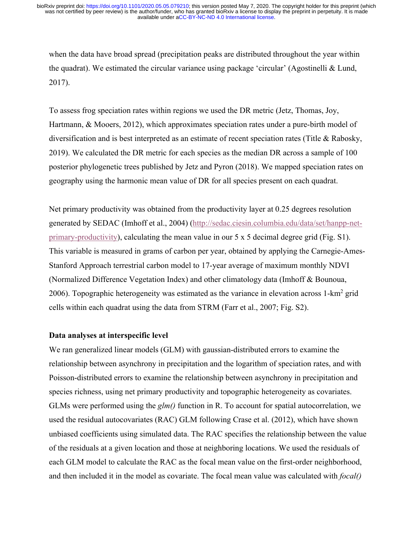when the data have broad spread (precipitation peaks are distributed throughout the year within the quadrat). We estimated the circular variance using package 'circular' (Agostinelli & Lund, 2017).

To assess frog speciation rates within regions we used the DR metric (Jetz, Thomas, Joy, Hartmann, & Mooers, 2012), which approximates speciation rates under a pure-birth model of diversification and is best interpreted as an estimate of recent speciation rates (Title & Rabosky, 2019). We calculated the DR metric for each species as the median DR across a sample of 100 posterior phylogenetic trees published by Jetz and Pyron (2018). We mapped speciation rates on geography using the harmonic mean value of DR for all species present on each quadrat.

Net primary productivity was obtained from the productivity layer at 0.25 degrees resolution generated by SEDAC (Imhoff et al., 2004) (http://sedac.ciesin.columbia.edu/data/set/hanpp-netprimary-productivity), calculating the mean value in our 5 x 5 decimal degree grid (Fig. S1). This variable is measured in grams of carbon per year, obtained by applying the Carnegie-Ames-Stanford Approach terrestrial carbon model to 17-year average of maximum monthly NDVI (Normalized Difference Vegetation Index) and other climatology data (Imhoff & Bounoua, 2006). Topographic heterogeneity was estimated as the variance in elevation across  $1-km^2$  grid cells within each quadrat using the data from STRM (Farr et al., 2007; Fig. S2).

# **Data analyses at interspecific level**

We ran generalized linear models (GLM) with gaussian-distributed errors to examine the relationship between asynchrony in precipitation and the logarithm of speciation rates, and with Poisson-distributed errors to examine the relationship between asynchrony in precipitation and species richness, using net primary productivity and topographic heterogeneity as covariates. GLMs were performed using the *glm()* function in R. To account for spatial autocorrelation, we used the residual autocovariates (RAC) GLM following Crase et al. (2012), which have shown unbiased coefficients using simulated data. The RAC specifies the relationship between the value of the residuals at a given location and those at neighboring locations. We used the residuals of each GLM model to calculate the RAC as the focal mean value on the first-order neighborhood, and then included it in the model as covariate. The focal mean value was calculated with *focal()*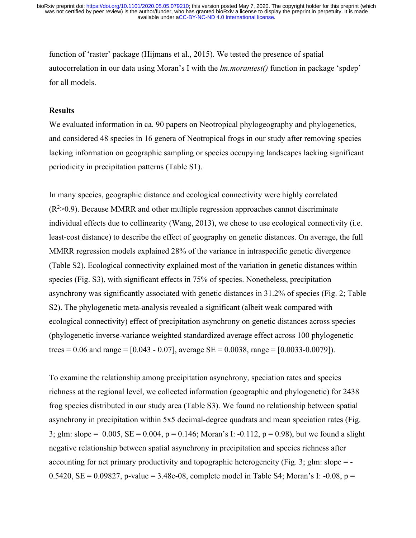function of 'raster' package (Hijmans et al., 2015). We tested the presence of spatial autocorrelation in our data using Moran's I with the *lm.morantest()* function in package 'spdep' for all models.

### **Results**

We evaluated information in ca. 90 papers on Neotropical phylogeography and phylogenetics, and considered 48 species in 16 genera of Neotropical frogs in our study after removing species lacking information on geographic sampling or species occupying landscapes lacking significant periodicity in precipitation patterns (Table S1).

In many species, geographic distance and ecological connectivity were highly correlated  $(R<sup>2</sup>>0.9)$ . Because MMRR and other multiple regression approaches cannot discriminate individual effects due to collinearity (Wang, 2013), we chose to use ecological connectivity (i.e. least-cost distance) to describe the effect of geography on genetic distances. On average, the full MMRR regression models explained 28% of the variance in intraspecific genetic divergence (Table S2). Ecological connectivity explained most of the variation in genetic distances within species (Fig. S3), with significant effects in 75% of species. Nonetheless, precipitation asynchrony was significantly associated with genetic distances in 31.2% of species (Fig. 2; Table S2). The phylogenetic meta-analysis revealed a significant (albeit weak compared with ecological connectivity) effect of precipitation asynchrony on genetic distances across species (phylogenetic inverse-variance weighted standardized average effect across 100 phylogenetic trees = 0.06 and range =  $[0.043 - 0.07]$ , average SE = 0.0038, range =  $[0.0033 - 0.0079]$ ).

To examine the relationship among precipitation asynchrony, speciation rates and species richness at the regional level, we collected information (geographic and phylogenetic) for 2438 frog species distributed in our study area (Table S3). We found no relationship between spatial asynchrony in precipitation within 5x5 decimal-degree quadrats and mean speciation rates (Fig. 3; glm: slope = 0.005, SE = 0.004, p = 0.146; Moran's I: -0.112, p = 0.98), but we found a slight negative relationship between spatial asynchrony in precipitation and species richness after accounting for net primary productivity and topographic heterogeneity (Fig. 3; glm: slope = -0.5420, SE = 0.09827, p-value = 3.48e-08, complete model in Table S4; Moran's I: -0.08, p =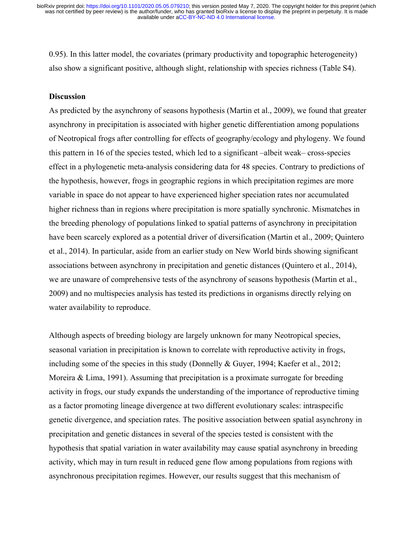0.95). In this latter model, the covariates (primary productivity and topographic heterogeneity) also show a significant positive, although slight, relationship with species richness (Table S4).

# **Discussion**

As predicted by the asynchrony of seasons hypothesis (Martin et al., 2009), we found that greater asynchrony in precipitation is associated with higher genetic differentiation among populations of Neotropical frogs after controlling for effects of geography/ecology and phylogeny. We found this pattern in 16 of the species tested, which led to a significant –albeit weak– cross-species effect in a phylogenetic meta-analysis considering data for 48 species. Contrary to predictions of the hypothesis, however, frogs in geographic regions in which precipitation regimes are more variable in space do not appear to have experienced higher speciation rates nor accumulated higher richness than in regions where precipitation is more spatially synchronic. Mismatches in the breeding phenology of populations linked to spatial patterns of asynchrony in precipitation have been scarcely explored as a potential driver of diversification (Martin et al., 2009; Quintero et al., 2014). In particular, aside from an earlier study on New World birds showing significant associations between asynchrony in precipitation and genetic distances (Quintero et al., 2014), we are unaware of comprehensive tests of the asynchrony of seasons hypothesis (Martin et al., 2009) and no multispecies analysis has tested its predictions in organisms directly relying on water availability to reproduce.

Although aspects of breeding biology are largely unknown for many Neotropical species, seasonal variation in precipitation is known to correlate with reproductive activity in frogs, including some of the species in this study (Donnelly & Guyer, 1994; Kaefer et al., 2012; Moreira & Lima, 1991). Assuming that precipitation is a proximate surrogate for breeding activity in frogs, our study expands the understanding of the importance of reproductive timing as a factor promoting lineage divergence at two different evolutionary scales: intraspecific genetic divergence, and speciation rates. The positive association between spatial asynchrony in precipitation and genetic distances in several of the species tested is consistent with the hypothesis that spatial variation in water availability may cause spatial asynchrony in breeding activity, which may in turn result in reduced gene flow among populations from regions with asynchronous precipitation regimes. However, our results suggest that this mechanism of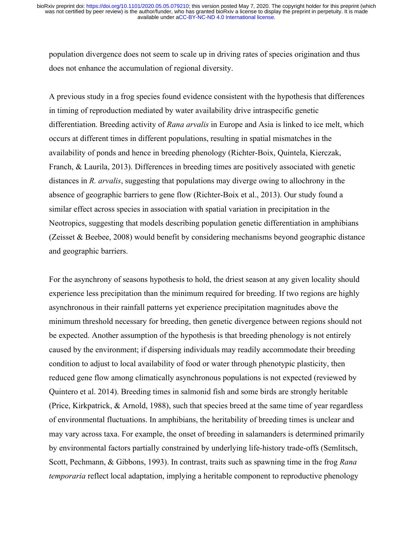population divergence does not seem to scale up in driving rates of species origination and thus does not enhance the accumulation of regional diversity.

A previous study in a frog species found evidence consistent with the hypothesis that differences in timing of reproduction mediated by water availability drive intraspecific genetic differentiation. Breeding activity of *Rana arvalis* in Europe and Asia is linked to ice melt, which occurs at different times in different populations, resulting in spatial mismatches in the availability of ponds and hence in breeding phenology (Richter-Boix, Quintela, Kierczak, Franch, & Laurila, 2013). Differences in breeding times are positively associated with genetic distances in *R. arvalis*, suggesting that populations may diverge owing to allochrony in the absence of geographic barriers to gene flow (Richter-Boix et al., 2013). Our study found a similar effect across species in association with spatial variation in precipitation in the Neotropics, suggesting that models describing population genetic differentiation in amphibians (Zeisset & Beebee, 2008) would benefit by considering mechanisms beyond geographic distance and geographic barriers.

For the asynchrony of seasons hypothesis to hold, the driest season at any given locality should experience less precipitation than the minimum required for breeding. If two regions are highly asynchronous in their rainfall patterns yet experience precipitation magnitudes above the minimum threshold necessary for breeding, then genetic divergence between regions should not be expected. Another assumption of the hypothesis is that breeding phenology is not entirely caused by the environment; if dispersing individuals may readily accommodate their breeding condition to adjust to local availability of food or water through phenotypic plasticity, then reduced gene flow among climatically asynchronous populations is not expected (reviewed by Quintero et al. 2014). Breeding times in salmonid fish and some birds are strongly heritable (Price, Kirkpatrick, & Arnold, 1988), such that species breed at the same time of year regardless of environmental fluctuations. In amphibians, the heritability of breeding times is unclear and may vary across taxa. For example, the onset of breeding in salamanders is determined primarily by environmental factors partially constrained by underlying life-history trade-offs (Semlitsch, Scott, Pechmann, & Gibbons, 1993). In contrast, traits such as spawning time in the frog *Rana temporaria* reflect local adaptation, implying a heritable component to reproductive phenology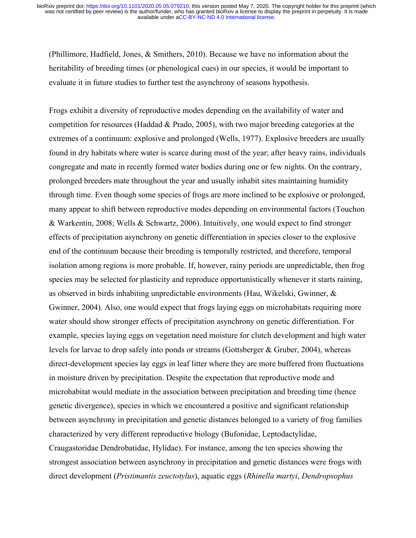(Phillimore, Hadfield, Jones, & Smithers, 2010). Because we have no information about the heritability of breeding times (or phenological cues) in our species, it would be important to evaluate it in future studies to further test the asynchrony of seasons hypothesis.

Frogs exhibit a diversity of reproductive modes depending on the availability of water and competition for resources (Haddad & Prado, 2005), with two major breeding categories at the extremes of a continuum: explosive and prolonged (Wells, 1977). Explosive breeders are usually found in dry habitats where water is scarce during most of the year; after heavy rains, individuals congregate and mate in recently formed water bodies during one or few nights. On the contrary, prolonged breeders mate throughout the year and usually inhabit sites maintaining humidity through time. Even though some species of frogs are more inclined to be explosive or prolonged, many appear to shift between reproductive modes depending on environmental factors (Touchon & Warkentin, 2008; Wells & Schwartz, 2006). Intuitively, one would expect to find stronger effects of precipitation asynchrony on genetic differentiation in species closer to the explosive end of the continuum because their breeding is temporally restricted, and therefore, temporal isolation among regions is more probable. If, however, rainy periods are unpredictable, then frog species may be selected for plasticity and reproduce opportunistically whenever it starts raining, as observed in birds inhabiting unpredictable environments (Hau, Wikelski, Gwinner, & Gwinner, 2004). Also, one would expect that frogs laying eggs on microhabitats requiring more water should show stronger effects of precipitation asynchrony on genetic differentiation. For example, species laying eggs on vegetation need moisture for clutch development and high water levels for larvae to drop safely into ponds or streams (Gottsberger & Gruber, 2004), whereas direct-development species lay eggs in leaf litter where they are more buffered from fluctuations in moisture driven by precipitation. Despite the expectation that reproductive mode and microhabitat would mediate in the association between precipitation and breeding time (hence genetic divergence), species in which we encountered a positive and significant relationship between asynchrony in precipitation and genetic distances belonged to a variety of frog families characterized by very different reproductive biology (Bufonidae, Leptodactylidae, Craugastoridae Dendrobatidae, Hylidae). For instance, among the ten species showing the strongest association between asynchrony in precipitation and genetic distances were frogs with direct development (*Pristimantis zeuctotylus*), aquatic eggs (*Rhinella martyi*, *Dendropsophus*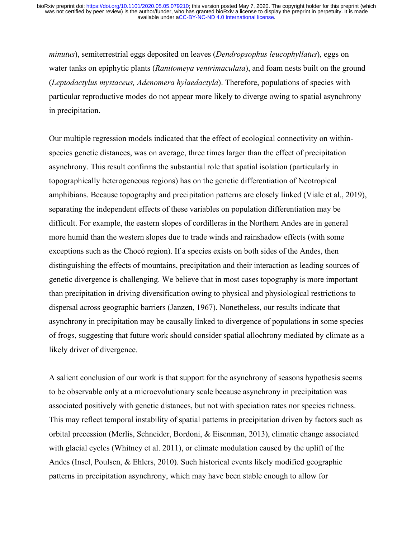*minutus*), semiterrestrial eggs deposited on leaves (*Dendropsophus leucophyllatus*), eggs on water tanks on epiphytic plants (*Ranitomeya ventrimaculata*), and foam nests built on the ground (*Leptodactylus mystaceus, Adenomera hylaedactyla*). Therefore, populations of species with particular reproductive modes do not appear more likely to diverge owing to spatial asynchrony in precipitation.

Our multiple regression models indicated that the effect of ecological connectivity on withinspecies genetic distances, was on average, three times larger than the effect of precipitation asynchrony. This result confirms the substantial role that spatial isolation (particularly in topographically heterogeneous regions) has on the genetic differentiation of Neotropical amphibians. Because topography and precipitation patterns are closely linked (Viale et al., 2019), separating the independent effects of these variables on population differentiation may be difficult. For example, the eastern slopes of cordilleras in the Northern Andes are in general more humid than the western slopes due to trade winds and rainshadow effects (with some exceptions such as the Chocó region). If a species exists on both sides of the Andes, then distinguishing the effects of mountains, precipitation and their interaction as leading sources of genetic divergence is challenging. We believe that in most cases topography is more important than precipitation in driving diversification owing to physical and physiological restrictions to dispersal across geographic barriers (Janzen, 1967). Nonetheless, our results indicate that asynchrony in precipitation may be causally linked to divergence of populations in some species of frogs, suggesting that future work should consider spatial allochrony mediated by climate as a likely driver of divergence.

A salient conclusion of our work is that support for the asynchrony of seasons hypothesis seems to be observable only at a microevolutionary scale because asynchrony in precipitation was associated positively with genetic distances, but not with speciation rates nor species richness. This may reflect temporal instability of spatial patterns in precipitation driven by factors such as orbital precession (Merlis, Schneider, Bordoni, & Eisenman, 2013), climatic change associated with glacial cycles (Whitney et al. 2011), or climate modulation caused by the uplift of the Andes (Insel, Poulsen, & Ehlers, 2010). Such historical events likely modified geographic patterns in precipitation asynchrony, which may have been stable enough to allow for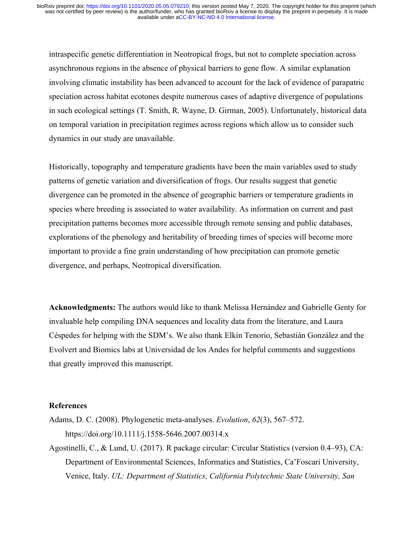intraspecific genetic differentiation in Neotropical frogs, but not to complete speciation across asynchronous regions in the absence of physical barriers to gene flow. A similar explanation involving climatic instability has been advanced to account for the lack of evidence of parapatric speciation across habitat ecotones despite numerous cases of adaptive divergence of populations in such ecological settings (T. Smith, R. Wayne, D. Girman, 2005). Unfortunately, historical data on temporal variation in precipitation regimes across regions which allow us to consider such dynamics in our study are unavailable.

Historically, topography and temperature gradients have been the main variables used to study patterns of genetic variation and diversification of frogs. Our results suggest that genetic divergence can be promoted in the absence of geographic barriers or temperature gradients in species where breeding is associated to water availability. As information on current and past precipitation patterns becomes more accessible through remote sensing and public databases, explorations of the phenology and heritability of breeding times of species will become more important to provide a fine grain understanding of how precipitation can promote genetic divergence, and perhaps, Neotropical diversification.

**Acknowledgments:** The authors would like to thank Melissa Hernández and Gabrielle Genty for invaluable help compiling DNA sequences and locality data from the literature, and Laura Céspedes for helping with the SDM's. We also thank Elkin Tenorio, Sebastián González and the Evolvert and Biomics labs at Universidad de los Andes for helpful comments and suggestions that greatly improved this manuscript.

# **References**

- Adams, D. C. (2008). Phylogenetic meta-analyses. *Evolution*, *62*(3), 567–572. https://doi.org/10.1111/j.1558-5646.2007.00314.x
- Agostinelli, C., & Lund, U. (2017). R package circular: Circular Statistics (version 0.4–93), CA: Department of Environmental Sciences, Informatics and Statistics, Ca'Foscari University, Venice, Italy. *UL: Department of Statistics, California Polytechnic State University, San*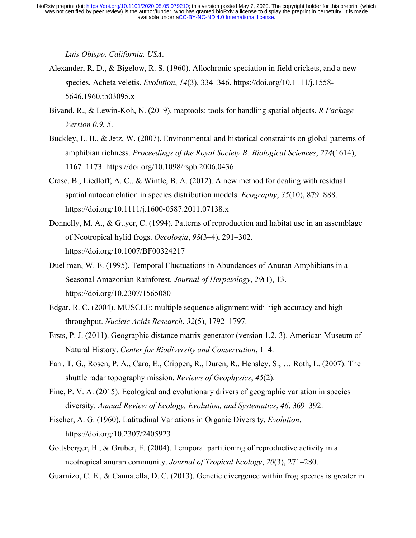*Luis Obispo, California, USA*.

- Alexander, R. D., & Bigelow, R. S. (1960). Allochronic speciation in field crickets, and a new species, Acheta veletis. *Evolution*, *14*(3), 334–346. https://doi.org/10.1111/j.1558- 5646.1960.tb03095.x
- Bivand, R., & Lewin-Koh, N. (2019). maptools: tools for handling spatial objects. *R Package Version 0.9*, *5*.
- Buckley, L. B., & Jetz, W. (2007). Environmental and historical constraints on global patterns of amphibian richness. *Proceedings of the Royal Society B: Biological Sciences*, *274*(1614), 1167–1173. https://doi.org/10.1098/rspb.2006.0436
- Crase, B., Liedloff, A. C., & Wintle, B. A. (2012). A new method for dealing with residual spatial autocorrelation in species distribution models. *Ecography*, *35*(10), 879–888. https://doi.org/10.1111/j.1600-0587.2011.07138.x
- Donnelly, M. A., & Guyer, C. (1994). Patterns of reproduction and habitat use in an assemblage of Neotropical hylid frogs. *Oecologia*, *98*(3–4), 291–302. https://doi.org/10.1007/BF00324217
- Duellman, W. E. (1995). Temporal Fluctuations in Abundances of Anuran Amphibians in a Seasonal Amazonian Rainforest. *Journal of Herpetology*, *29*(1), 13. https://doi.org/10.2307/1565080
- Edgar, R. C. (2004). MUSCLE: multiple sequence alignment with high accuracy and high throughput. *Nucleic Acids Research*, *32*(5), 1792–1797.
- Ersts, P. J. (2011). Geographic distance matrix generator (version 1.2. 3). American Museum of Natural History. *Center for Biodiversity and Conservation*, 1–4.
- Farr, T. G., Rosen, P. A., Caro, E., Crippen, R., Duren, R., Hensley, S., … Roth, L. (2007). The shuttle radar topography mission. *Reviews of Geophysics*, *45*(2).
- Fine, P. V. A. (2015). Ecological and evolutionary drivers of geographic variation in species diversity. *Annual Review of Ecology, Evolution, and Systematics*, *46*, 369–392.
- Fischer, A. G. (1960). Latitudinal Variations in Organic Diversity. *Evolution*. https://doi.org/10.2307/2405923
- Gottsberger, B., & Gruber, E. (2004). Temporal partitioning of reproductive activity in a neotropical anuran community. *Journal of Tropical Ecology*, *20*(3), 271–280.
- Guarnizo, C. E., & Cannatella, D. C. (2013). Genetic divergence within frog species is greater in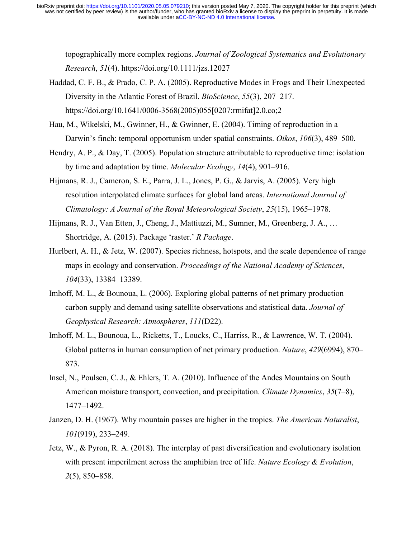topographically more complex regions. *Journal of Zoological Systematics and Evolutionary Research*, *51*(4). https://doi.org/10.1111/jzs.12027

- Haddad, C. F. B., & Prado, C. P. A. (2005). Reproductive Modes in Frogs and Their Unexpected Diversity in the Atlantic Forest of Brazil. *BioScience*, *55*(3), 207–217. https://doi.org/10.1641/0006-3568(2005)055[0207:rmifat]2.0.co;2
- Hau, M., Wikelski, M., Gwinner, H., & Gwinner, E. (2004). Timing of reproduction in a Darwin's finch: temporal opportunism under spatial constraints. *Oikos*, *106*(3), 489–500.
- Hendry, A. P., & Day, T. (2005). Population structure attributable to reproductive time: isolation by time and adaptation by time. *Molecular Ecology*, *14*(4), 901–916.
- Hijmans, R. J., Cameron, S. E., Parra, J. L., Jones, P. G., & Jarvis, A. (2005). Very high resolution interpolated climate surfaces for global land areas. *International Journal of Climatology: A Journal of the Royal Meteorological Society*, *25*(15), 1965–1978.
- Hijmans, R. J., Van Etten, J., Cheng, J., Mattiuzzi, M., Sumner, M., Greenberg, J. A., … Shortridge, A. (2015). Package 'raster.' *R Package*.
- Hurlbert, A. H., & Jetz, W. (2007). Species richness, hotspots, and the scale dependence of range maps in ecology and conservation. *Proceedings of the National Academy of Sciences*, *104*(33), 13384–13389.
- Imhoff, M. L., & Bounoua, L. (2006). Exploring global patterns of net primary production carbon supply and demand using satellite observations and statistical data. *Journal of Geophysical Research: Atmospheres*, *111*(D22).
- Imhoff, M. L., Bounoua, L., Ricketts, T., Loucks, C., Harriss, R., & Lawrence, W. T. (2004). Global patterns in human consumption of net primary production. *Nature*, *429*(6994), 870– 873.
- Insel, N., Poulsen, C. J., & Ehlers, T. A. (2010). Influence of the Andes Mountains on South American moisture transport, convection, and precipitation. *Climate Dynamics*, *35*(7–8), 1477–1492.
- Janzen, D. H. (1967). Why mountain passes are higher in the tropics. *The American Naturalist*, *101*(919), 233–249.
- Jetz, W., & Pyron, R. A. (2018). The interplay of past diversification and evolutionary isolation with present imperilment across the amphibian tree of life. *Nature Ecology & Evolution*, *2*(5), 850–858.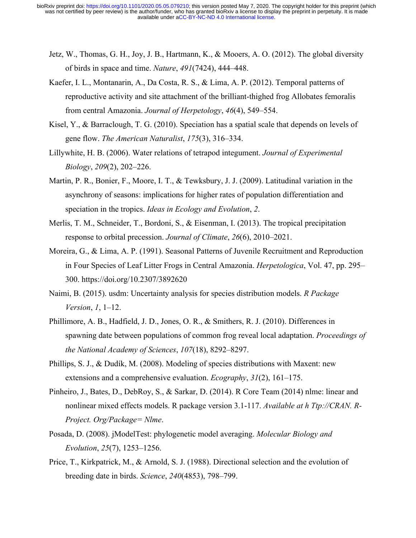- Jetz, W., Thomas, G. H., Joy, J. B., Hartmann, K., & Mooers, A. O. (2012). The global diversity of birds in space and time. *Nature*, *491*(7424), 444–448.
- Kaefer, I. L., Montanarin, A., Da Costa, R. S., & Lima, A. P. (2012). Temporal patterns of reproductive activity and site attachment of the brilliant-thighed frog Allobates femoralis from central Amazonia. *Journal of Herpetology*, *46*(4), 549–554.
- Kisel, Y., & Barraclough, T. G. (2010). Speciation has a spatial scale that depends on levels of gene flow. *The American Naturalist*, *175*(3), 316–334.
- Lillywhite, H. B. (2006). Water relations of tetrapod integument. *Journal of Experimental Biology*, *209*(2), 202–226.
- Martin, P. R., Bonier, F., Moore, I. T., & Tewksbury, J. J. (2009). Latitudinal variation in the asynchrony of seasons: implications for higher rates of population differentiation and speciation in the tropics. *Ideas in Ecology and Evolution*, *2*.
- Merlis, T. M., Schneider, T., Bordoni, S., & Eisenman, I. (2013). The tropical precipitation response to orbital precession. *Journal of Climate*, *26*(6), 2010–2021.
- Moreira, G., & Lima, A. P. (1991). Seasonal Patterns of Juvenile Recruitment and Reproduction in Four Species of Leaf Litter Frogs in Central Amazonia. *Herpetologica*, Vol. 47, pp. 295– 300. https://doi.org/10.2307/3892620
- Naimi, B. (2015). usdm: Uncertainty analysis for species distribution models. *R Package Version*, *1*, 1–12.
- Phillimore, A. B., Hadfield, J. D., Jones, O. R., & Smithers, R. J. (2010). Differences in spawning date between populations of common frog reveal local adaptation. *Proceedings of the National Academy of Sciences*, *107*(18), 8292–8297.
- Phillips, S. J., & Dudík, M. (2008). Modeling of species distributions with Maxent: new extensions and a comprehensive evaluation. *Ecography*, *31*(2), 161–175.
- Pinheiro, J., Bates, D., DebRoy, S., & Sarkar, D. (2014). R Core Team (2014) nlme: linear and nonlinear mixed effects models. R package version 3.1-117. *Available at h Ttp://CRAN. R-Project. Org/Package= Nlme*.
- Posada, D. (2008). jModelTest: phylogenetic model averaging. *Molecular Biology and Evolution*, *25*(7), 1253–1256.
- Price, T., Kirkpatrick, M., & Arnold, S. J. (1988). Directional selection and the evolution of breeding date in birds. *Science*, *240*(4853), 798–799.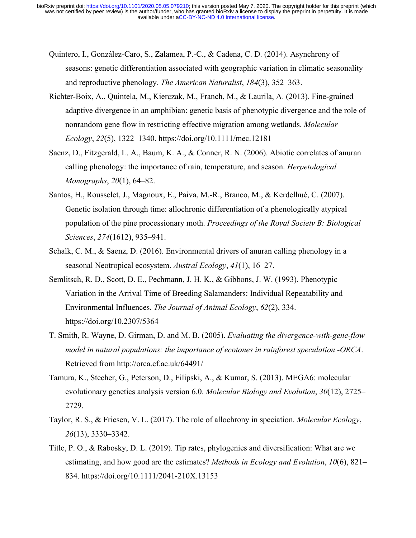- Quintero, I., González-Caro, S., Zalamea, P.-C., & Cadena, C. D. (2014). Asynchrony of seasons: genetic differentiation associated with geographic variation in climatic seasonality and reproductive phenology. *The American Naturalist*, *184*(3), 352–363.
- Richter-Boix, A., Quintela, M., Kierczak, M., Franch, M., & Laurila, A. (2013). Fine-grained adaptive divergence in an amphibian: genetic basis of phenotypic divergence and the role of nonrandom gene flow in restricting effective migration among wetlands. *Molecular Ecology*, *22*(5), 1322–1340. https://doi.org/10.1111/mec.12181
- Saenz, D., Fitzgerald, L. A., Baum, K. A., & Conner, R. N. (2006). Abiotic correlates of anuran calling phenology: the importance of rain, temperature, and season. *Herpetological Monographs*, *20*(1), 64–82.
- Santos, H., Rousselet, J., Magnoux, E., Paiva, M.-R., Branco, M., & Kerdelhué, C. (2007). Genetic isolation through time: allochronic differentiation of a phenologically atypical population of the pine processionary moth. *Proceedings of the Royal Society B: Biological Sciences*, *274*(1612), 935–941.
- Schalk, C. M., & Saenz, D. (2016). Environmental drivers of anuran calling phenology in a seasonal Neotropical ecosystem. *Austral Ecology*, *41*(1), 16–27.
- Semlitsch, R. D., Scott, D. E., Pechmann, J. H. K., & Gibbons, J. W. (1993). Phenotypic Variation in the Arrival Time of Breeding Salamanders: Individual Repeatability and Environmental Influences. *The Journal of Animal Ecology*, *62*(2), 334. https://doi.org/10.2307/5364
- T. Smith, R. Wayne, D. Girman, D. and M. B. (2005). *Evaluating the divergence-with-gene-flow model in natural populations: the importance of ecotones in rainforest speculation -ORCA*. Retrieved from http://orca.cf.ac.uk/64491/
- Tamura, K., Stecher, G., Peterson, D., Filipski, A., & Kumar, S. (2013). MEGA6: molecular evolutionary genetics analysis version 6.0. *Molecular Biology and Evolution*, *30*(12), 2725– 2729.
- Taylor, R. S., & Friesen, V. L. (2017). The role of allochrony in speciation. *Molecular Ecology*, *26*(13), 3330–3342.
- Title, P. O., & Rabosky, D. L. (2019). Tip rates, phylogenies and diversification: What are we estimating, and how good are the estimates? *Methods in Ecology and Evolution*, *10*(6), 821– 834. https://doi.org/10.1111/2041-210X.13153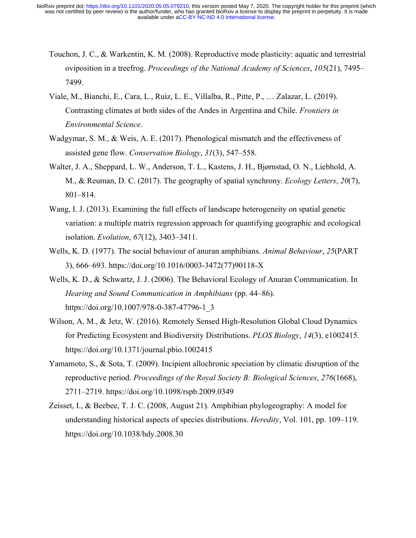- Touchon, J. C., & Warkentin, K. M. (2008). Reproductive mode plasticity: aquatic and terrestrial oviposition in a treefrog. *Proceedings of the National Academy of Sciences*, *105*(21), 7495– 7499.
- Viale, M., Bianchi, E., Cara, L., Ruiz, L. E., Villalba, R., Pitte, P., … Zalazar, L. (2019). Contrasting climates at both sides of the Andes in Argentina and Chile. *Frontiers in Environmental Science*.
- Wadgymar, S. M., & Weis, A. E. (2017). Phenological mismatch and the effectiveness of assisted gene flow. *Conservation Biology*, *31*(3), 547–558.
- Walter, J. A., Sheppard, L. W., Anderson, T. L., Kastens, J. H., Bjørnstad, O. N., Liebhold, A. M., & Reuman, D. C. (2017). The geography of spatial synchrony. *Ecology Letters*, *20*(7), 801–814.
- Wang, I. J. (2013). Examining the full effects of landscape heterogeneity on spatial genetic variation: a multiple matrix regression approach for quantifying geographic and ecological isolation. *Evolution*, *67*(12), 3403–3411.
- Wells, K. D. (1977). The social behaviour of anuran amphibians. *Animal Behaviour*, *25*(PART 3), 666–693. https://doi.org/10.1016/0003-3472(77)90118-X
- Wells, K. D., & Schwartz, J. J. (2006). The Behavioral Ecology of Anuran Communication. In *Hearing and Sound Communication in Amphibians* (pp. 44–86). https://doi.org/10.1007/978-0-387-47796-1\_3
- Wilson, A. M., & Jetz, W. (2016). Remotely Sensed High-Resolution Global Cloud Dynamics for Predicting Ecosystem and Biodiversity Distributions. *PLOS Biology*, *14*(3), e1002415. https://doi.org/10.1371/journal.pbio.1002415
- Yamamoto, S., & Sota, T. (2009). Incipient allochronic speciation by climatic disruption of the reproductive period. *Proceedings of the Royal Society B: Biological Sciences*, *276*(1668), 2711–2719. https://doi.org/10.1098/rspb.2009.0349
- Zeisset, I., & Beebee, T. J. C. (2008, August 21). Amphibian phylogeography: A model for understanding historical aspects of species distributions. *Heredity*, Vol. 101, pp. 109–119. https://doi.org/10.1038/hdy.2008.30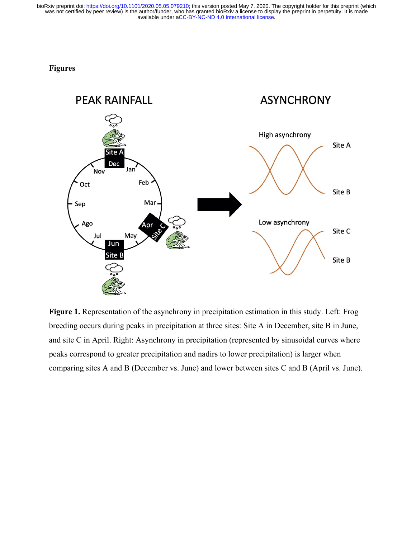# **Figures**



**Figure 1.** Representation of the asynchrony in precipitation estimation in this study. Left: Frog breeding occurs during peaks in precipitation at three sites: Site A in December, site B in June, and site C in April. Right: Asynchrony in precipitation (represented by sinusoidal curves where peaks correspond to greater precipitation and nadirs to lower precipitation) is larger when comparing sites A and B (December vs. June) and lower between sites C and B (April vs. June).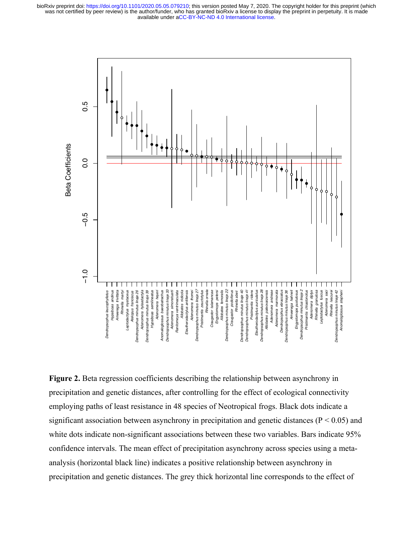

**Figure 2.** Beta regression coefficients describing the relationship between asynchrony in precipitation and genetic distances, after controlling for the effect of ecological connectivity employing paths of least resistance in 48 species of Neotropical frogs. Black dots indicate a significant association between asynchrony in precipitation and genetic distances ( $P < 0.05$ ) and white dots indicate non-significant associations between these two variables. Bars indicate 95% confidence intervals. The mean effect of precipitation asynchrony across species using a metaanalysis (horizontal black line) indicates a positive relationship between asynchrony in precipitation and genetic distances. The grey thick horizontal line corresponds to the effect of